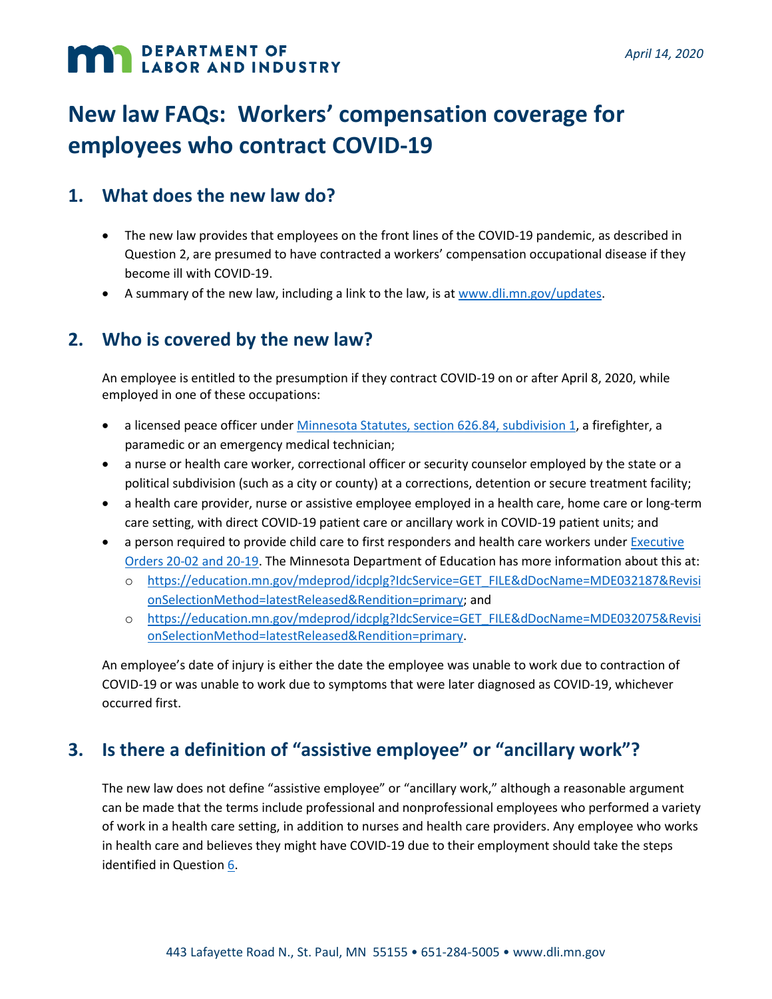# **MAN DEPARTMENT OF LABOR AND INDUSTRY**

## **New law FAQs: Workers' compensation coverage for employees who contract COVID-19**

#### **1. What does the new law do?**

- The new law provides that employees on the front lines of the COVID-19 pandemic, as described in Question 2, are presumed to have contracted a workers' compensation occupational disease if they become ill with COVID-19.
- A summary of the new law, including a link to the law, is at [www.dli.mn.gov/updates.](http://www.dli.mn.gov/updates)

#### <span id="page-0-0"></span>**2. Who is covered by the new law?**

An employee is entitled to the presumption if they contract COVID-19 on or after April 8, 2020, while employed in one of these occupations:

- a licensed peace officer unde[r Minnesota Statutes, section 626.84, subdivision 1,](https://www.revisor.mn.gov/statutes/cite/626.84) a firefighter, a paramedic or an emergency medical technician;
- a nurse or health care worker, correctional officer or security counselor employed by the state or a political subdivision (such as a city or county) at a corrections, detention or secure treatment facility;
- a health care provider, nurse or assistive employee employed in a health care, home care or long-term care setting, with direct COVID-19 patient care or ancillary work in COVID-19 patient units; and
- a person required to provide child care to first responders and health care workers under Executive Orders [20-02 and 20-19.](https://mn.gov/governor/news/executiveorders.jsp) The Minnesota Department of Education has more information about this at:
	- o [https://education.mn.gov/mdeprod/idcplg?IdcService=GET\\_FILE&dDocName=MDE032187&Revisi](https://education.mn.gov/mdeprod/idcplg?IdcService=GET_FILE&dDocName=MDE032187&RevisionSelectionMethod=latestReleased&Rendition=primary) [onSelectionMethod=latestReleased&Rendition=primary;](https://education.mn.gov/mdeprod/idcplg?IdcService=GET_FILE&dDocName=MDE032187&RevisionSelectionMethod=latestReleased&Rendition=primary) and
	- o [https://education.mn.gov/mdeprod/idcplg?IdcService=GET\\_FILE&dDocName=MDE032075&Revisi](https://education.mn.gov/mdeprod/idcplg?IdcService=GET_FILE&dDocName=MDE032075&RevisionSelectionMethod=latestReleased&Rendition=primary) [onSelectionMethod=latestReleased&Rendition=primary.](https://education.mn.gov/mdeprod/idcplg?IdcService=GET_FILE&dDocName=MDE032075&RevisionSelectionMethod=latestReleased&Rendition=primary)

An employee's date of injury is either the date the employee was unable to work due to contraction of COVID-19 or was unable to work due to symptoms that were later diagnosed as COVID-19, whichever occurred first.

#### **3. Is there a definition of "assistive employee" or "ancillary work"?**

The new law does not define "assistive employee" or "ancillary work," although a reasonable argument can be made that the terms include professional and nonprofessional employees who performed a variety of work in a health care setting, in addition to nurses and health care providers. Any employee who works in health care and believes they might have COVID-19 due to their employment should take the steps identified in Questio[n 6.](#page-1-0)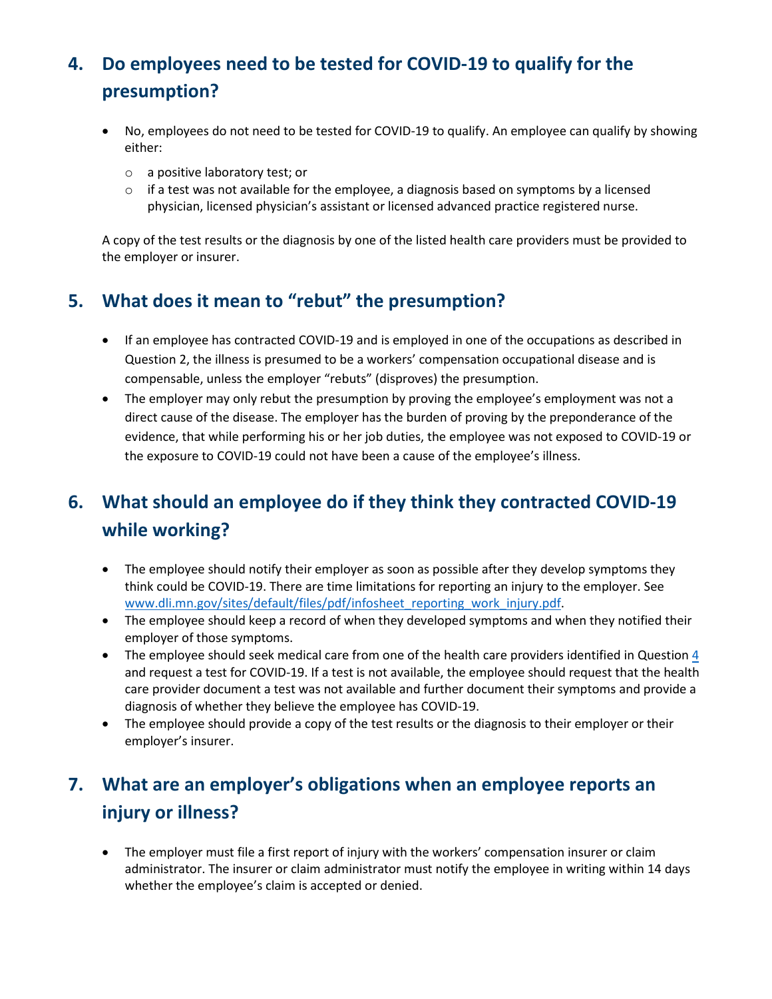## <span id="page-1-1"></span>**4. Do employees need to be tested for COVID-19 to qualify for the presumption?**

- No, employees do not need to be tested for COVID-19 to qualify. An employee can qualify by showing either:
	- o a positive laboratory test; or
	- $\circ$  if a test was not available for the employee, a diagnosis based on symptoms by a licensed physician, licensed physician's assistant or licensed advanced practice registered nurse.

A copy of the test results or the diagnosis by one of the listed health care providers must be provided to the employer or insurer.

#### **5. What does it mean to "rebut" the presumption?**

- If an employee has contracted COVID-19 and is employed in one of the occupations as described in Question 2, the illness is presumed to be a workers' compensation occupational disease and is compensable, unless the employer "rebuts" (disproves) the presumption.
- The employer may only rebut the presumption by proving the employee's employment was not a direct cause of the disease. The employer has the burden of proving by the preponderance of the evidence, that while performing his or her job duties, the employee was not exposed to COVID-19 or the exposure to COVID-19 could not have been a cause of the employee's illness.

### <span id="page-1-0"></span>**6. What should an employee do if they think they contracted COVID-19 while working?**

- The employee should notify their employer as soon as possible after they develop symptoms they think could be COVID-19. There are time limitations for reporting an injury to the employer. See [www.dli.mn.gov/sites/default/files/pdf/infosheet\\_reporting\\_work\\_injury.pdf.](http://www.dli.mn.gov/sites/default/files/pdf/infosheet_reporting_work_injury.pdf)
- The employee should keep a record of when they developed symptoms and when they notified their employer of those symptoms.
- The employee should seek medical care from one of the health care providers identified in Question [4](#page-1-1) and request a test for COVID-19. If a test is not available, the employee should request that the health care provider document a test was not available and further document their symptoms and provide a diagnosis of whether they believe the employee has COVID-19.
- The employee should provide a copy of the test results or the diagnosis to their employer or their employer's insurer.

#### **7. What are an employer's obligations when an employee reports an injury or illness?**

• The employer must file a first report of injury with the workers' compensation insurer or claim administrator. The insurer or claim administrator must notify the employee in writing within 14 days whether the employee's claim is accepted or denied.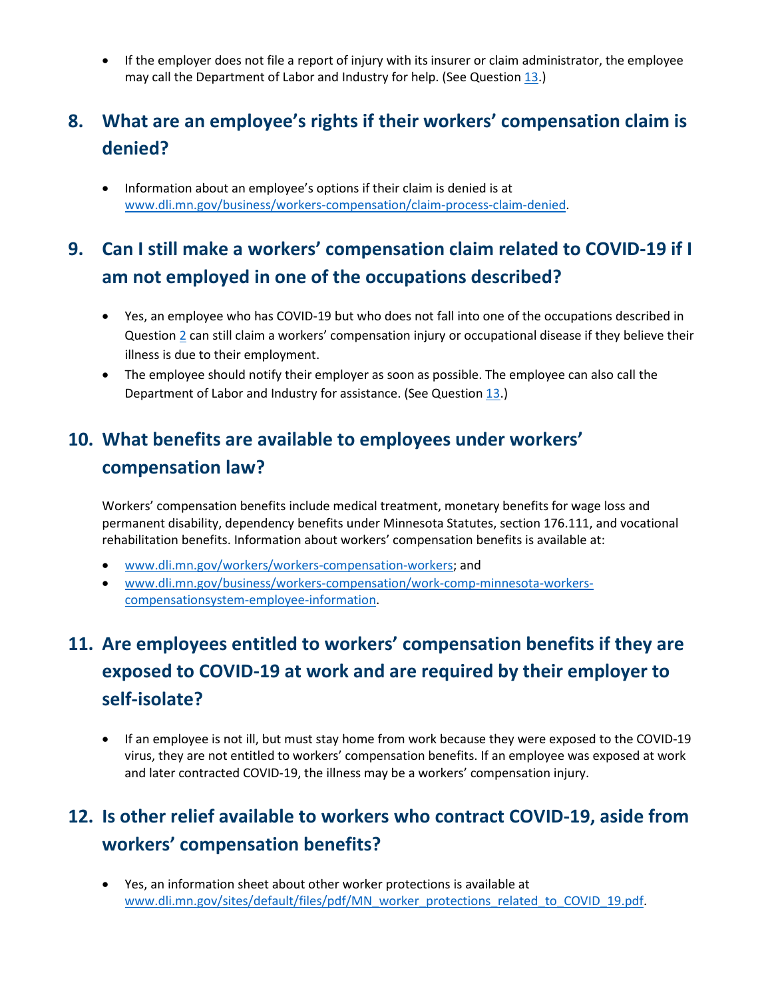• If the employer does not file a report of injury with its insurer or claim administrator, the employee may call the Department of Labor and Industry for help. (See Question [13.](#page-3-0))

### **8. What are an employee's rights if their workers' compensation claim is denied?**

• Information about an employee's options if their claim is denied is at [www.dli.mn.gov/business/workers-compensation/claim-process-claim-denied.](http://www.dli.mn.gov/business/workers-compensation/claim-process-claim-denied)

#### **9. Can I still make a workers' compensation claim related to COVID-19 if I am not employed in one of the occupations described?**

- Yes, an employee who has COVID-19 but who does not fall into one of the occupations described in Question [2](#page-0-0) can still claim a workers' compensation injury or occupational disease if they believe their illness is due to their employment.
- The employee should notify their employer as soon as possible. The employee can also call the Department of Labor and Industry for assistance. (See Questio[n 13.](#page-3-0))

#### **10. What benefits are available to employees under workers' compensation law?**

Workers' compensation benefits include medical treatment, monetary benefits for wage loss and permanent disability, dependency benefits under Minnesota Statutes, section 176.111, and vocational rehabilitation benefits. Information about workers' compensation benefits is available at:

- [www.dli.mn.gov/workers/workers-compensation-workers;](https://www.dli.mn.gov/workers/workers-compensation-workers) and
- www.dli.mn.gov/business/workers-compensation/work-comp-minnesota-workerscompensationsystem-employee-information.

## **11. Are employees entitled to workers' compensation benefits if they are exposed to COVID-19 at work and are required by their employer to self-isolate?**

• If an employee is not ill, but must stay home from work because they were exposed to the COVID-19 virus, they are not entitled to workers' compensation benefits. If an employee was exposed at work and later contracted COVID-19, the illness may be a workers' compensation injury.

### **12. Is other relief available to workers who contract COVID-19, aside from workers' compensation benefits?**

• Yes, an information sheet about other worker protections is available at [www.dli.mn.gov/sites/default/files/pdf/MN\\_worker\\_protections\\_related\\_to\\_COVID\\_19.pdf.](http://www.dli.mn.gov/sites/default/files/pdf/MN_worker_protections_related_to_COVID_19.pdf)